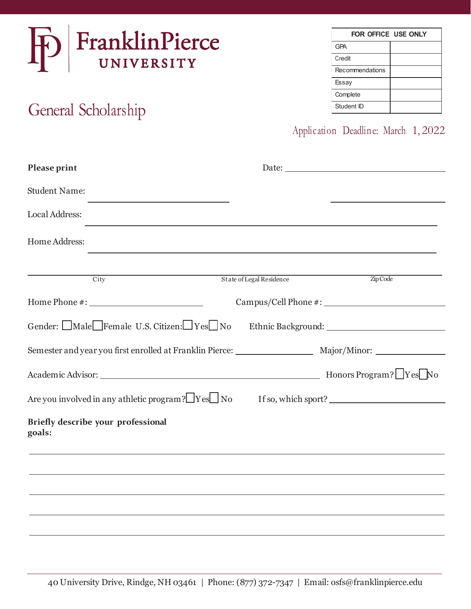

# General Scholarship

| FOR OFFICE USE ONLY |  |
|---------------------|--|
| <b>GPA</b>          |  |
| Credit              |  |
| Recommendations     |  |
| Essay               |  |
| Complete            |  |
| Student ID          |  |

## Application Deadline: March 1, 2022

| Please print                                      |                                                                                                               |
|---------------------------------------------------|---------------------------------------------------------------------------------------------------------------|
| <b>Student Name:</b>                              |                                                                                                               |
| Local Address:                                    |                                                                                                               |
| Home Address:                                     |                                                                                                               |
| $\overline{\mathrm{City}}$                        | State of Legal Residence<br>Zip Code                                                                          |
|                                                   |                                                                                                               |
| Gender: Male Female U.S. Citizen: Yes No          |                                                                                                               |
|                                                   | Semester and year you first enrolled at Franklin Pierce: _______________________ Major/Minor: _______________ |
|                                                   |                                                                                                               |
| Are you involved in any athletic program? Fest No | If so, which sport?                                                                                           |
| Briefly describe your professional<br>goals:      |                                                                                                               |
|                                                   |                                                                                                               |
|                                                   |                                                                                                               |
|                                                   |                                                                                                               |
|                                                   |                                                                                                               |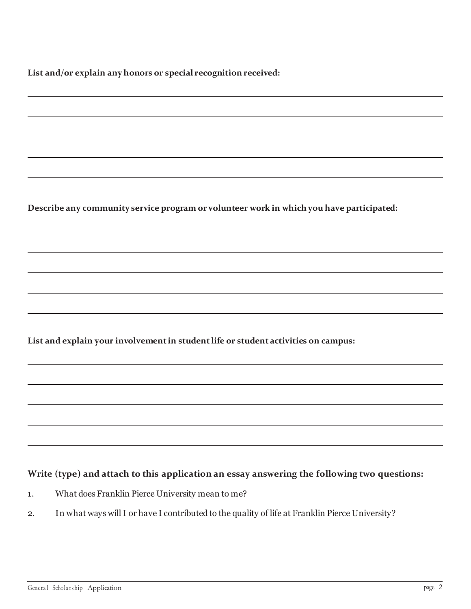**List and/or explain any honors or special recognition received:**

**Describe any community service program or volunteer work in which you have participated:**

**List and explain your involvement in student life or student activities on campus:**

#### **Write (type) and attach to this application an essay answering the following two questions:**

- 1. What does Franklin Pierce University mean to me?
- 2. In what ways will I or have I contributed to the quality of life at Franklin Pierce University?